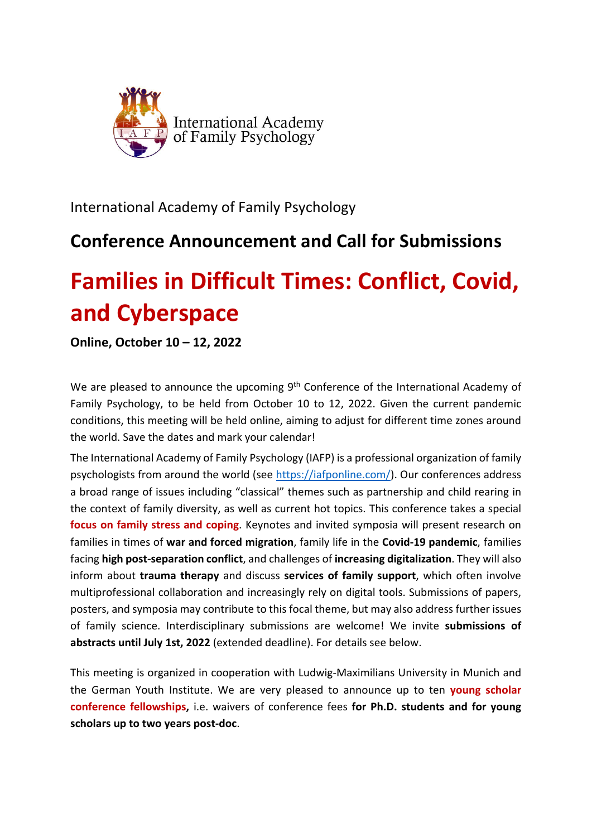

International Academy of Family Psychology

## **Conference Announcement and Call for Submissions**

# **Families in Difficult Times: Conflict, Covid, and Cyberspace**

**Online, October 10 – 12, 2022**

We are pleased to announce the upcoming 9<sup>th</sup> Conference of the International Academy of Family Psychology, to be held from October 10 to 12, 2022. Given the current pandemic conditions, this meeting will be held online, aiming to adjust for different time zones around the world. Save the dates and mark your calendar!

The International Academy of Family Psychology (IAFP) is a professional organization of family psychologists from around the world (see https://iafponline.com/). Our conferences address a broad range of issues including "classical" themes such as partnership and child rearing in the context of family diversity, as well as current hot topics. This conference takes a special **focus on family stress and coping**. Keynotes and invited symposia will present research on families in times of **war and forced migration**, family life in the **Covid‐19 pandemic**, families facing **high post‐separation conflict**, and challenges of **increasing digitalization**. They will also inform about **trauma therapy** and discuss **services of family support**, which often involve multiprofessional collaboration and increasingly rely on digital tools. Submissions of papers, posters, and symposia may contribute to this focal theme, but may also address further issues of family science. Interdisciplinary submissions are welcome! We invite **submissions of abstracts until July 1st, 2022** (extended deadline). For details see below.

This meeting is organized in cooperation with Ludwig‐Maximilians University in Munich and the German Youth Institute. We are very pleased to announce up to ten **young scholar conference fellowships,** i.e. waivers of conference fees **for Ph.D. students and for young scholars up to two years post‐doc**.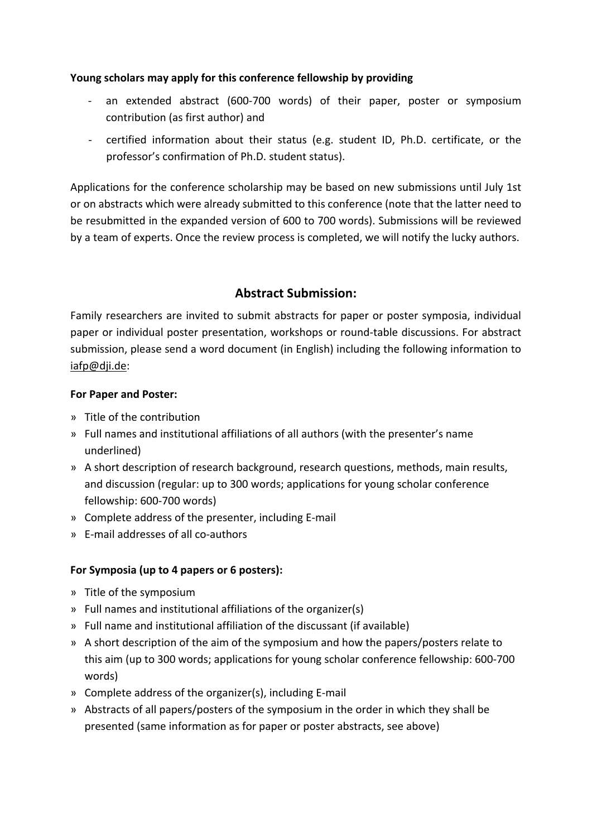#### **Young scholars may apply for this conference fellowship by providing**

- ‐ an extended abstract (600‐700 words) of their paper, poster or symposium contribution (as first author) and
- ‐ certified information about their status (e.g. student ID, Ph.D. certificate, or the professor's confirmation of Ph.D. student status).

Applications for the conference scholarship may be based on new submissions until July 1st or on abstracts which were already submitted to this conference (note that the latter need to be resubmitted in the expanded version of 600 to 700 words). Submissions will be reviewed by a team of experts. Once the review process is completed, we will notify the lucky authors.

### **Abstract Submission:**

Family researchers are invited to submit abstracts for paper or poster symposia, individual paper or individual poster presentation, workshops or round-table discussions. For abstract submission, please send a word document (in English) including the following information to iafp@dji.de:

#### **For Paper and Poster:**

- » Title of the contribution
- » Full names and institutional affiliations of all authors (with the presenter's name underlined)
- » A short description of research background, research questions, methods, main results, and discussion (regular: up to 300 words; applications for young scholar conference fellowship: 600‐700 words)
- » Complete address of the presenter, including E‐mail
- » E‐mail addresses of all co‐authors

#### **For Symposia (up to 4 papers or 6 posters):**

- » Title of the symposium
- » Full names and institutional affiliations of the organizer(s)
- » Full name and institutional affiliation of the discussant (if available)
- » A short description of the aim of the symposium and how the papers/posters relate to this aim (up to 300 words; applications for young scholar conference fellowship: 600‐700 words)
- » Complete address of the organizer(s), including E‐mail
- » Abstracts of all papers/posters of the symposium in the order in which they shall be presented (same information as for paper or poster abstracts, see above)